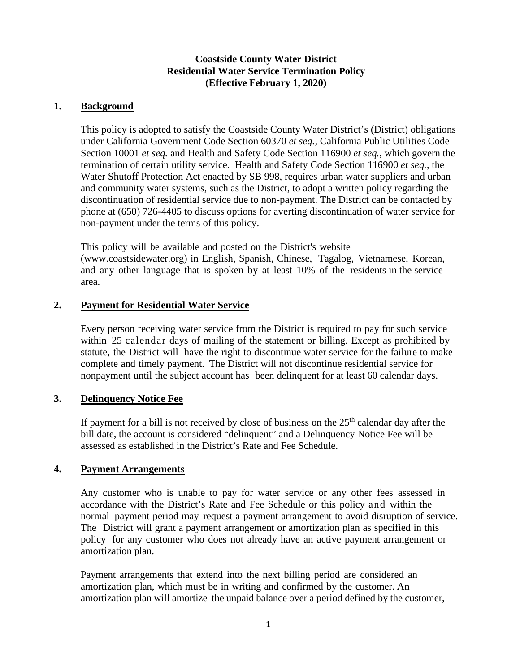### **Coastside County Water District Residential Water Service Termination Policy (Effective February 1, 2020)**

### **1. Background**

This policy is adopted to satisfy the Coastside County Water District's (District) obligations under California Government Code Section 60370 *et seq.,* California Public Utilities Code Section 10001 *et seq.* and Health and Safety Code Section 116900 *et seq.*, which govern the termination of certain utility service. Health and Safety Code Section 116900 *et seq.*, the Water Shutoff Protection Act enacted by SB 998, requires urban water suppliers and urban and community water systems, such as the District, to adopt a written policy regarding the discontinuation of residential service due to non-payment. The District can be contacted by phone at (650) 726-4405 to discuss options for averting discontinuation of water service for non-payment under the terms of this policy.

This policy will be available and posted on the District's website (www.coastsidewater.org) in English, Spanish, Chinese, Tagalog, Vietnamese, Korean, and any other language that is spoken by at least 10% of the residents in the service area.

## **2. Payment for Residential Water Service**

Every person receiving water service from the District is required to pay for such service within 25 calendar days of mailing of the statement or billing. Except as prohibited by statute, the District will have the right to discontinue water service for the failure to make complete and timely payment. The District will not discontinue residential service for nonpayment until the subject account has been delinquent for at least 60 calendar days.

# **3. Delinquency Notice Fee**

If payment for a bill is not received by close of business on the  $25<sup>th</sup>$  calendar day after the bill date, the account is considered "delinquent" and a Delinquency Notice Fee will be assessed as established in the District's Rate and Fee Schedule.

#### **4. Payment Arrangements**

Any customer who is unable to pay for water service or any other fees assessed in accordance with the District's Rate and Fee Schedule or this policy and within the normal payment period may request a payment arrangement to avoid disruption of service. The District will grant a payment arrangement or amortization plan as specified in this policy for any customer who does not already have an active payment arrangement or amortization plan.

Payment arrangements that extend into the next billing period are considered an amortization plan, which must be in writing and confirmed by the customer. An amortization plan will amortize the unpaid balance over a period defined by the customer,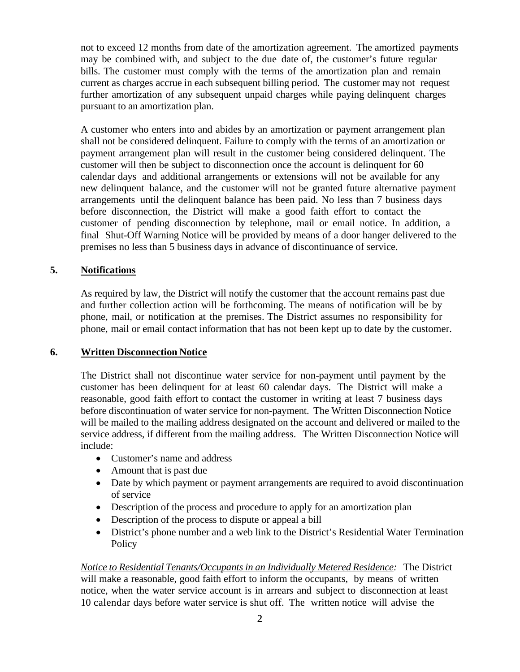not to exceed 12 months from date of the amortization agreement. The amortized payments may be combined with, and subject to the due date of, the customer's future regular bills. The customer must comply with the terms of the amortization plan and remain current as charges accrue in each subsequent billing period. The customer may not request further amortization of any subsequent unpaid charges while paying delinquent charges pursuant to an amortization plan.

A customer who enters into and abides by an amortization or payment arrangement plan shall not be considered delinquent. Failure to comply with the terms of an amortization or payment arrangement plan will result in the customer being considered delinquent. The customer will then be subject to disconnection once the account is delinquent for 60 calendar days and additional arrangements or extensions will not be available for any new delinquent balance, and the customer will not be granted future alternative payment arrangements until the delinquent balance has been paid. No less than 7 business days before disconnection, the District will make a good faith effort to contact the customer of pending disconnection by telephone, mail or email notice. In addition, a final Shut-Off Warning Notice will be provided by means of a door hanger delivered to the premises no less than 5 business days in advance of discontinuance of service.

#### **5. Notifications**

As required by law, the District will notify the customer that the account remains past due and further collection action will be forthcoming. The means of notification will be by phone, mail, or notification at the premises. The District assumes no responsibility for phone, mail or email contact information that has not been kept up to date by the customer.

#### **6. Written Disconnection Notice**

The District shall not discontinue water service for non-payment until payment by the customer has been delinquent for at least 60 calendar days. The District will make a reasonable, good faith effort to contact the customer in writing at least 7 business days before discontinuation of water service for non-payment. The Written Disconnection Notice will be mailed to the mailing address designated on the account and delivered or mailed to the service address, if different from the mailing address. The Written Disconnection Notice will include:

- Customer's name and address
- Amount that is past due
- Date by which payment or payment arrangements are required to avoid discontinuation of service
- Description of the process and procedure to apply for an amortization plan
- Description of the process to dispute or appeal a bill
- District's phone number and a web link to the District's Residential Water Termination **Policy**

*Notice to Residential Tenants/Occupants in an Individually Metered Residence:* The District will make a reasonable, good faith effort to inform the occupants, by means of written notice, when the water service account is in arrears and subject to disconnection at least 10 calendar days before water service is shut off. The written notice will advise the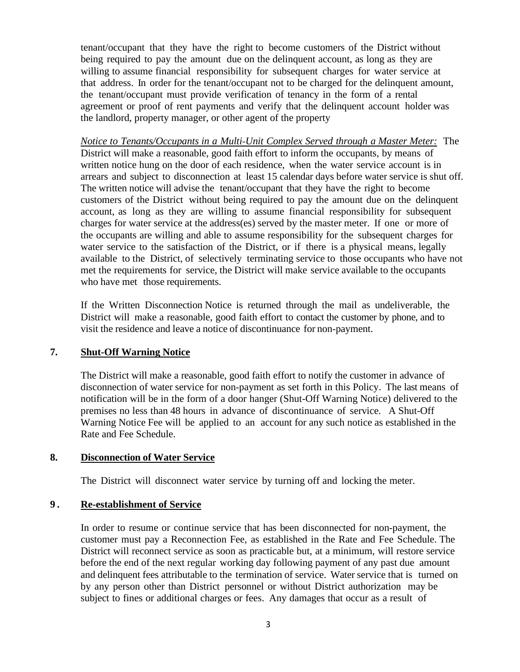tenant/occupant that they have the right to become customers of the District without being required to pay the amount due on the delinquent account, as long as they are willing to assume financial responsibility for subsequent charges for water service at that address. In order for the tenant/occupant not to be charged for the delinquent amount, the tenant/occupant must provide verification of tenancy in the form of a rental agreement or proof of rent payments and verify that the delinquent account holder was the landlord, property manager, or other agent of the property

*Notice to Tenants/Occupants in a Multi‐Unit Complex Served through a Master Meter:* The District will make a reasonable, good faith effort to inform the occupants, by means of written notice hung on the door of each residence, when the water service account is in arrears and subject to disconnection at least 15 calendar days before water service is shut off. The written notice will advise the tenant/occupant that they have the right to become customers of the District without being required to pay the amount due on the delinquent account, as long as they are willing to assume financial responsibility for subsequent charges for water service at the address(es) served by the master meter. If one or more of the occupants are willing and able to assume responsibility for the subsequent charges for water service to the satisfaction of the District, or if there is a physical means, legally available to the District, of selectively terminating service to those occupants who have not met the requirements for service, the District will make service available to the occupants who have met those requirements.

If the Written Disconnection Notice is returned through the mail as undeliverable, the District will make a reasonable, good faith effort to contact the customer by phone, and to visit the residence and leave a notice of discontinuance for non‐payment.

#### **7. Shut-Off Warning Notice**

The District will make a reasonable, good faith effort to notify the customer in advance of disconnection of water service for non‐payment as set forth in this Policy. The last means of notification will be in the form of a door hanger (Shut-Off Warning Notice) delivered to the premises no less than 48 hours in advance of discontinuance of service. A Shut-Off Warning Notice Fee will be applied to an account for any such notice as established in the Rate and Fee Schedule.

#### **8. Disconnection of Water Service**

The District will disconnect water service by turning off and locking the meter.

#### **9 . Re-establishment of Service**

In order to resume or continue service that has been disconnected for non‐payment, the customer must pay a Reconnection Fee, as established in the Rate and Fee Schedule. The District will reconnect service as soon as practicable but, at a minimum, will restore service before the end of the next regular working day following payment of any past due amount and delinquent fees attributable to the termination of service. Water service that is turned on by any person other than District personnel or without District authorization may be subject to fines or additional charges or fees. Any damages that occur as a result of